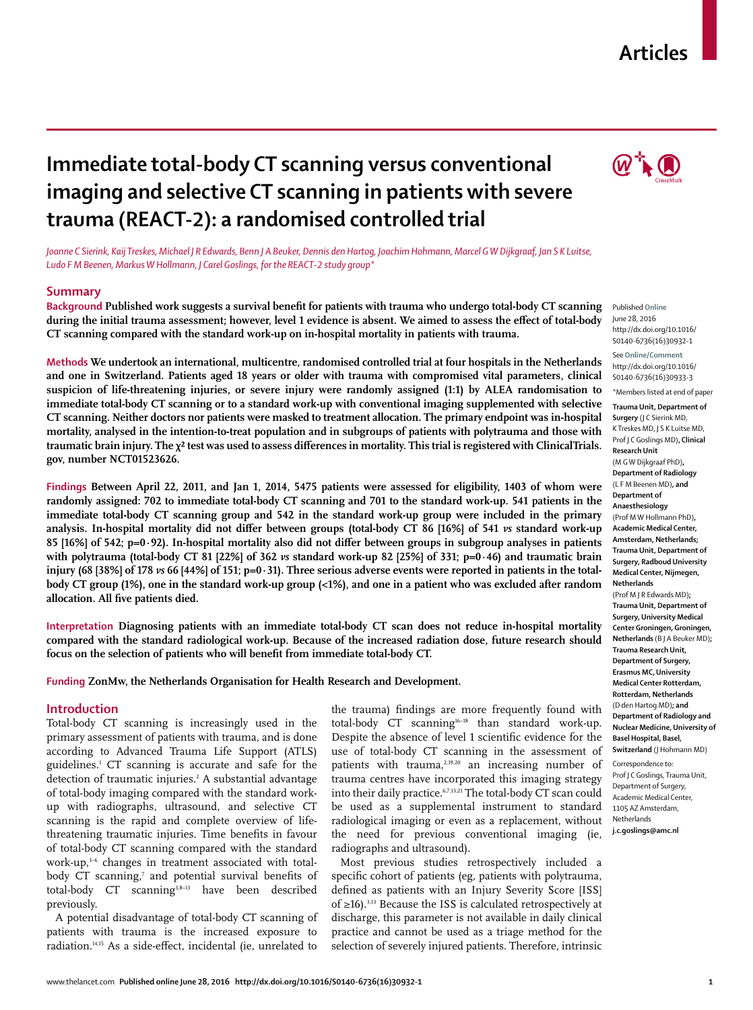# **Articles**

# **Immediate total-body CT scanning versus conventional imaging and selective CT scanning in patients with severe trauma (REACT-2): a randomised controlled trial**



*Joanne C Sierink, Kaij Treskes, Michael J R Edwards, Benn J A Beuker, Dennis den Hartog, Joachim Hohmann, Marcel G W Dijkgraaf, Jan S K Luitse, Ludo F M Beenen, Markus W Hollmann, J Carel Goslings, for the REACT-2 study group\** 

## **Summary**

**Background Published work suggests a survival benefi t for patients with trauma who undergo total-body CT scanning**  during the initial trauma assessment; however, level 1 evidence is absent. We aimed to assess the effect of total-body **CT scanning compared with the standard work-up on in-hospital mortality in patients with trauma.**

**Methods We undertook an international, multicentre, randomised controlled trial at four hospitals in the Netherlands and one in Switzerland. Patients aged 18 years or older with trauma with compromised vital parameters, clinical suspicion of life-threatening injuries, or severe injury were randomly assigned (1:1) by ALEA randomisation to immediate total-body CT scanning or to a standard work-up with conventional imaging supplemented with selective CT scanning. Neither doctors nor patients were masked to treatment allocation. The primary endpoint was in-hospital mortality, analysed in the intention-to-treat population and in subgroups of patients with polytrauma and those with traumatic brain injury. The χ² test was used to assess diff erences in mortality. This trial is registered with ClinicalTrials. gov, number NCT01523626.**

**Findings Between April 22, 2011, and Jan 1, 2014, 5475 patients were assessed for eligibility, 1403 of whom were randomly assigned: 702 to immediate total-body CT scanning and 701 to the standard work-up. 541 patients in the immediate total-body CT scanning group and 542 in the standard work-up group were included in the primary**  analysis. In-hospital mortality did not differ between groups (total-body CT 86 [16%] of 541 *vs* standard work-up 85 [16%] of 542; p=0·92]. In-hospital mortality also did not differ between groups in subgroup analyses in patients **with polytrauma (total-body CT 81 [22%] of 362** *vs* **standard work-up 82 [25%] of 331; p=0·46) and traumatic brain injury (68 [38%] of 178** *vs* **66 [44%] of 151; p=0·31). Three serious adverse events were reported in patients in the totalbody CT group (1%), one in the standard work-up group (<1%), and one in a patient who was excluded after random**  allocation. All five patients died.

**Interpretation Diagnosing patients with an immediate total-body CT scan does not reduce in-hospital mortality compared with the standard radiological work-up. Because of the increased radiation dose, future research should**  focus on the selection of patients who will benefit from immediate total-body CT.

**Funding ZonMw, the Netherlands Organisation for Health Research and Development.**

## **Introduction**

Total-body CT scanning is increasingly used in the primary assessment of patients with trauma, and is done according to Advanced Trauma Life Support (ATLS) guidelines.1 CT scanning is accurate and safe for the detection of traumatic injuries.2 A substantial advantage of total-body imaging compared with the standard workup with radiographs, ultrasound, and selective CT scanning is the rapid and complete overview of lifethreatening traumatic injuries. Time benefits in favour of total-body CT scanning compared with the standard work-up,<sup>3-6</sup> changes in treatment associated with totalbody CT scanning,<sup>7</sup> and potential survival benefits of total-body CT scanning<sup>3,8-13</sup> have been described previously.

A potential disadvantage of total-body CT scanning of patients with trauma is the increased exposure to radiation.<sup>14,15</sup> As a side-effect, incidental (ie, unrelated to the trauma) findings are more frequently found with total-body CT scanning<sup>16-18</sup> than standard work-up. Despite the absence of level 1 scientific evidence for the use of total-body CT scanning in the assessment of patients with trauma,<sup>2,19,20</sup> an increasing number of trauma centres have incorporated this imaging strategy into their daily practice.<sup>6,7,13,21</sup> The total-body CT scan could be used as a supplemental instrument to standard radiological imaging or even as a replacement, without the need for previous conventional imaging (ie, radiographs and ultrasound).

Most previous studies retrospectively included a specific cohort of patients (eg, patients with polytrauma, defined as patients with an Injury Severity Score [ISS] of ≥16).3,13 Because the ISS is calculated retrospectively at discharge, this parameter is not available in daily clinical practice and cannot be used as a triage method for the selection of severely injured patients. Therefore, intrinsic Published **Online** June 28, 2016 http://dx.doi.org/10.1016/ S0140-6736(16)30932-1

See**Online/Comment** http://dx.doi.org/10.1016/ S0140-6736(16)30933-3

\*Members listed at end of paper

**Trauma Unit, Department of Surgery** (J C Sierink MD, K Treskes MD, J S K Luitse MD, Prof J C Goslings MD)**, Clinical Research Unit** (M G W Dijkgraaf PhD)**, Department of Radiology** (L F M Beenen MD)**, and Department of** 

**Anaesthesiology**

(Prof M W Hollmann PhD)**, Academic Medical Center, Amsterdam, Netherlands; Trauma Unit, Department of Surgery, Radboud University Medical Center, Nijmegen, Netherlands**

(Prof M J R Edwards MD)**; Trauma Unit, Department of Surgery, University Medical Center Groningen, Groningen, Netherlands** (B J A Beuker MD)**; Trauma Research Unit, Department of Surgery, Erasmus MC, University Medical Center Rotterdam, Rotterdam, Netherlands** (D den Hartog MD)**; and Department of Radiology and Nuclear Medicine, University of Basel Hospital, Basel, Switzerland** (J Hohmann MD)

Correspondence to: Prof J C Goslings, Trauma Unit, Department of Surgery, Academic Medical Center, 1105 AZ Amsterdam, Netherlands **j.c.goslings@amc.nl**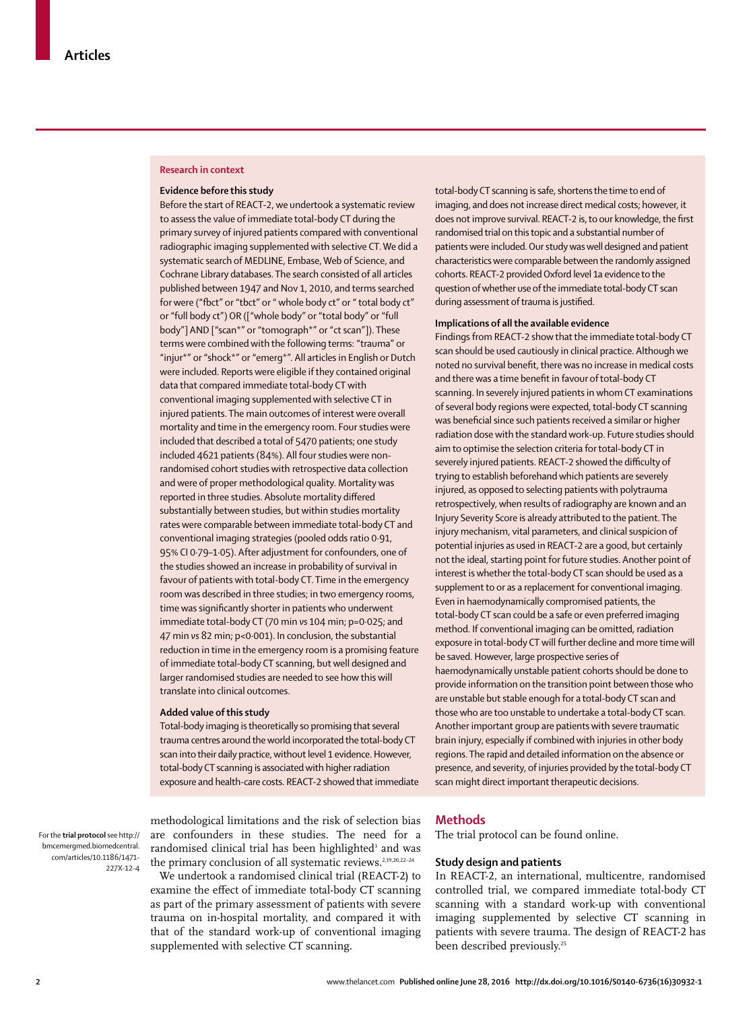#### **Research in context**

#### **Evidence before this study**

Before the start of REACT-2, we undertook a systematic review to assess the value of immediate total-body CT during the primary survey of injured patients compared with conventional radiographic imaging supplemented with selective CT. We did a systematic search of MEDLINE, Embase, Web of Science, and Cochrane Library databases. The search consisted of all articles published between 1947 and Nov 1, 2010, and terms searched for were ("fbct" or "tbct" or " whole body ct" or " total body ct" or "full body ct") OR (["whole body" or "total body" or "full body"] AND ["scan\*" or "tomograph\*" or "ct scan"]). These terms were combined with the following terms: "trauma" or "injur\*" or "shock\*" or "emerg\*". All articles in English or Dutch were included. Reports were eligible if they contained original data that compared immediate total-body CT with conventional imaging supplemented with selective CT in injured patients. The main outcomes of interest were overall mortality and time in the emergency room. Four studies were included that described a total of 5470 patients; one study included 4621 patients (84%). All four studies were nonrandomised cohort studies with retrospective data collection and were of proper methodological quality. Mortality was reported in three studies. Absolute mortality differed substantially between studies, but within studies mortality rates were comparable between immediate total-body CT and conventional imaging strategies (pooled odds ratio 0·91, 95% CI 0·79–1·05). After adjustment for confounders, one of the studies showed an increase in probability of survival in favour of patients with total-body CT. Time in the emergency room was described in three studies; in two emergency rooms, time was significantly shorter in patients who underwent immediate total-body CT (70 min *vs* 104 min; p=0·025; and 47 min *vs* 82 min; p*<*0·001). In conclusion, the substantial reduction in time in the emergency room is a promising feature of immediate total-body CT scanning, but well designed and larger randomised studies are needed to see how this will translate into clinical outcomes.

### **Added value of this study**

Total-body imaging is theoretically so promising that several trauma centres around the world incorporated the total-body CT scan into their daily practice, without level 1 evidence. However, total-body CT scanning is associated with higher radiation exposure and health-care costs. REACT-2 showed that immediate

For the **trial protocol** see http:// bmcemergmed.biomedcentral. com/articles/10.1186/1471- 227X-12-4

methodological limitations and the risk of selection bias are confounders in these studies. The need for a randomised clinical trial has been highlighted<sup>3</sup> and was the primary conclusion of all systematic reviews.<sup>2,19,20,22-24</sup>

We undertook a randomised clinical trial (REACT-2) to examine the effect of immediate total-body CT scanning as part of the primary assessment of patients with severe trauma on in-hospital mortality, and compared it with that of the standard work-up of conventional imaging supplemented with selective CT scanning.

total-body CT scanning is safe, shortens the time to end of imaging, and does not increase direct medical costs; however, it does not improve survival. REACT-2 is, to our knowledge, the first randomised trial on this topic and a substantial number of patients were included. Our study was well designed and patient characteristics were comparable between the randomly assigned cohorts. REACT-2 provided Oxford level 1a evidence to the question of whether use of the immediate total-body CT scan during assessment of trauma is justified.

#### **Implications of all the available evidence**

Findings from REACT-2 show that the immediate total-body CT scan should be used cautiously in clinical practice. Although we noted no survival benefit, there was no increase in medical costs and there was a time benefit in favour of total-body CT scanning. In severely injured patients in whom CT examinations of several body regions were expected, total-body CT scanning was beneficial since such patients received a similar or higher radiation dose with the standard work-up. Future studies should aim to optimise the selection criteria for total-body CT in severely injured patients. REACT-2 showed the difficulty of trying to establish beforehand which patients are severely injured, as opposed to selecting patients with polytrauma retrospectively, when results of radiography are known and an Injury Severity Score is already attributed to the patient. The injury mechanism, vital parameters, and clinical suspicion of potential injuries as used in REACT-2 are a good, but certainly not the ideal, starting point for future studies. Another point of interest is whether the total-body CT scan should be used as a supplement to or as a replacement for conventional imaging. Even in haemodynamically compromised patients, the total-body CT scan could be a safe or even preferred imaging method. If conventional imaging can be omitted, radiation exposure in total-body CT will further decline and more time will be saved. However, large prospective series of haemodynamically unstable patient cohorts should be done to provide information on the transition point between those who are unstable but stable enough for a total-body CT scan and those who are too unstable to undertake a total-body CT scan. Another important group are patients with severe traumatic brain injury, especially if combined with injuries in other body regions. The rapid and detailed information on the absence or presence, and severity, of injuries provided by the total-body CT scan might direct important therapeutic decisions.

# **Methods**

The trial protocol can be found online.

#### **Study design and patients**

In REACT-2, an international, multicentre, randomised controlled trial, we compared immediate total-body CT scanning with a standard work-up with conventional imaging supplemented by selective CT scanning in patients with severe trauma. The design of REACT-2 has been described previously.<sup>25</sup>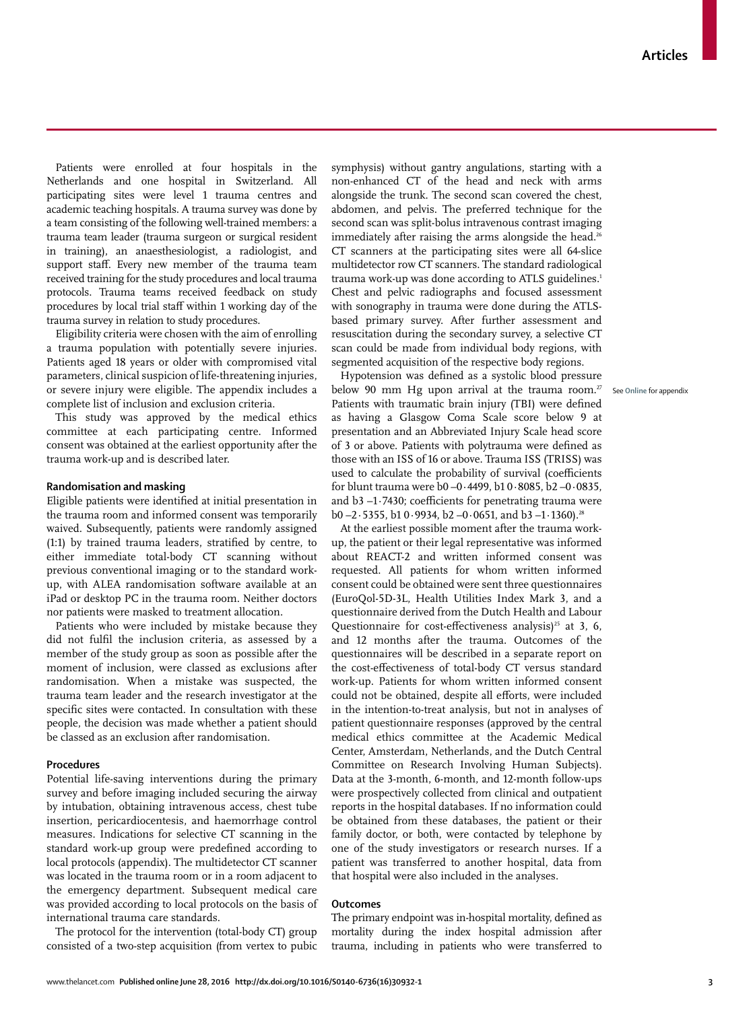Patients were enrolled at four hospitals in the Netherlands and one hospital in Switzerland. All participating sites were level 1 trauma centres and academic teaching hospitals. A trauma survey was done by a team consisting of the following well-trained members: a trauma team leader (trauma surgeon or surgical resident in training), an anaesthesiologist, a radiologist, and support staff. Every new member of the trauma team received training for the study procedures and local trauma protocols. Trauma teams received feedback on study procedures by local trial staff within 1 working day of the trauma survey in relation to study procedures.

Eligibility criteria were chosen with the aim of enrolling a trauma population with potentially severe injuries. Patients aged 18 years or older with compromised vital parameters, clinical suspicion of life-threatening injuries, or severe injury were eligible. The appendix includes a complete list of inclusion and exclusion criteria.

This study was approved by the medical ethics committee at each participating centre. Informed consent was obtained at the earliest opportunity after the trauma work-up and is described later.

#### **Randomisation and masking**

Eligible patients were identified at initial presentation in the trauma room and informed consent was temporarily waived. Subsequently, patients were randomly assigned  $(1:1)$  by trained trauma leaders, stratified by centre, to either immediate total-body CT scanning without previous conventional imaging or to the standard workup, with ALEA randomisation software available at an iPad or desktop PC in the trauma room. Neither doctors nor patients were masked to treatment allocation.

Patients who were included by mistake because they did not fulfil the inclusion criteria, as assessed by a member of the study group as soon as possible after the moment of inclusion, were classed as exclusions after randomisation. When a mistake was suspected, the trauma team leader and the research investigator at the specific sites were contacted. In consultation with these people, the decision was made whether a patient should be classed as an exclusion after randomisation.

## **Procedures**

Potential life-saving interventions during the primary survey and before imaging included securing the airway by intubation, obtaining intravenous access, chest tube insertion, pericardiocentesis, and haemorrhage control measures. Indications for selective CT scanning in the standard work-up group were predefined according to local protocols (appendix). The multidetector CT scanner was located in the trauma room or in a room adjacent to the emergency department. Subsequent medical care was provided according to local protocols on the basis of international trauma care standards.

The protocol for the intervention (total-body CT) group consisted of a two-step acquisition (from vertex to pubic symphysis) without gantry angulations, starting with a non-enhanced CT of the head and neck with arms alongside the trunk. The second scan covered the chest, abdomen, and pelvis. The preferred technique for the second scan was split-bolus intravenous contrast imaging immediately after raising the arms alongside the head.<sup>26</sup> CT scanners at the participating sites were all 64-slice multidetector row CT scanners. The standard radiological trauma work-up was done according to ATLS guidelines.<sup>1</sup> Chest and pelvic radiographs and focused assessment with sonography in trauma were done during the ATLSbased primary survey. After further assessment and resuscitation during the secondary survey, a selective CT scan could be made from individual body regions, with segmented acquisition of the respective body regions.

Hypotension was defined as a systolic blood pressure below 90 mm Hg upon arrival at the trauma room.<sup>27</sup> Patients with traumatic brain injury (TBI) were defined as having a Glasgow Coma Scale score below 9 at presentation and an Abbreviated Injury Scale head score of 3 or above. Patients with polytrauma were defined as those with an ISS of 16 or above. Trauma ISS (TRISS) was used to calculate the probability of survival (coefficients for blunt trauma were b0 –0·4499, b1 0·8085, b2 –0·0835, and  $b3 - 1.7430$ ; coefficients for penetrating trauma were b0 –2 $\cdot$ 5355, b1 0 $\cdot$ 9934, b2 –0 $\cdot$ 0651, and b3 –1 $\cdot$ 1360).<sup>28</sup>

At the earliest possible moment after the trauma workup, the patient or their legal representative was informed about REACT-2 and written informed consent was requested. All patients for whom written informed consent could be obtained were sent three questionnaires (EuroQol-5D-3L, Health Utilities Index Mark 3, and a questionnaire derived from the Dutch Health and Labour Questionnaire for cost-effectiveness analysis)<sup>25</sup> at 3, 6, and 12 months after the trauma. Outcomes of the question naires will be described in a separate report on the cost-effectiveness of total-body CT versus standard work-up. Patients for whom written informed consent could not be obtained, despite all efforts, were included in the intention-to-treat analysis, but not in analyses of patient questionnaire responses (approved by the central medical ethics committee at the Academic Medical Center, Amsterdam, Netherlands, and the Dutch Central Committee on Research Involving Human Subjects). Data at the 3-month, 6-month, and 12-month follow-ups were prospectively collected from clinical and outpatient reports in the hospital databases. If no information could be obtained from these databases, the patient or their family doctor, or both, were contacted by telephone by one of the study investigators or research nurses. If a patient was transferred to another hospital, data from that hospital were also included in the analyses.

### **Outcomes**

The primary endpoint was in-hospital mortality, defined as mortality during the index hospital admission after trauma, including in patients who were transferred to See **Online** for appendix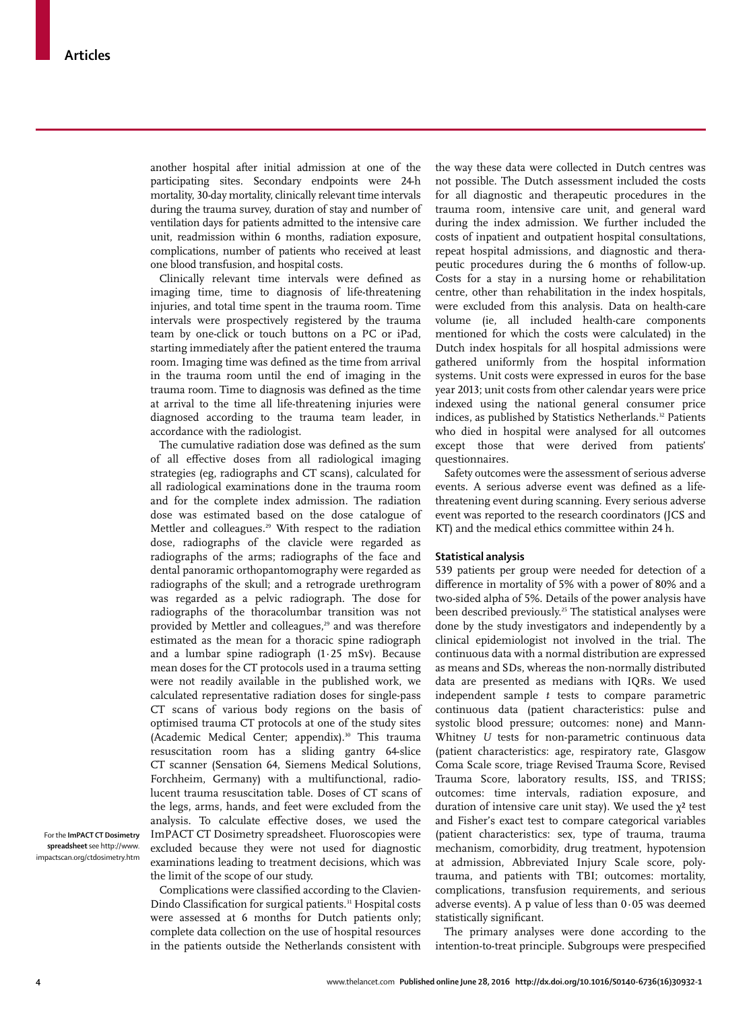another hospital after initial admission at one of the participating sites. Secondary endpoints were 24-h mortality, 30-day mortality, clinically relevant time intervals during the trauma survey, duration of stay and number of ventilation days for patients admitted to the intensive care unit, readmission within 6 months, radiation exposure, complications, number of patients who received at least one blood transfusion, and hospital costs.

Clinically relevant time intervals were defined as imaging time, time to diagnosis of life-threatening injuries, and total time spent in the trauma room. Time intervals were prospectively registered by the trauma team by one-click or touch buttons on a PC or iPad, starting immediately after the patient entered the trauma room. Imaging time was defined as the time from arrival in the trauma room until the end of imaging in the trauma room. Time to diagnosis was defined as the time at arrival to the time all life-threatening injuries were diagnosed according to the trauma team leader, in accordance with the radiologist.

The cumulative radiation dose was defined as the sum of all effective doses from all radiological imaging strategies (eg, radiographs and CT scans), calculated for all radiological examinations done in the trauma room and for the complete index admission. The radiation dose was estimated based on the dose catalogue of Mettler and colleagues.29 With respect to the radiation dose, radiographs of the clavicle were regarded as radiographs of the arms; radiographs of the face and dental panoramic orthopantomography were regarded as radiographs of the skull; and a retrograde urethrogram was regarded as a pelvic radiograph. The dose for radiographs of the thoracolumbar transition was not provided by Mettler and colleagues,<sup>29</sup> and was therefore estimated as the mean for a thoracic spine radiograph and a lumbar spine radiograph (1·25 mSv). Because mean doses for the CT protocols used in a trauma setting were not readily available in the published work, we calculated representative radiation doses for single-pass CT scans of various body regions on the basis of optimised trauma CT protocols at one of the study sites (Academic Medical Center; appendix).<sup>30</sup> This trauma resuscitation room has a sliding gantry 64-slice CT scanner (Sensation 64, Siemens Medical Solutions, Forchheim, Germany) with a multifunctional, radiolucent trauma resuscitation table. Doses of CT scans of the legs, arms, hands, and feet were excluded from the analysis. To calculate effective doses, we used the ImPACT CT Dosimetry spreadsheet. Fluoroscopies were excluded because they were not used for diagnostic examinations leading to treatment decisions, which was the limit of the scope of our study.

Complications were classified according to the Clavien-Dindo Classification for surgical patients.<sup>31</sup> Hospital costs were assessed at 6 months for Dutch patients only; complete data collection on the use of hospital resources in the patients outside the Netherlands consistent with

the way these data were collected in Dutch centres was not possible. The Dutch assessment included the costs for all diagnostic and therapeutic procedures in the trauma room, intensive care unit, and general ward during the index admission. We further included the costs of inpatient and outpatient hospital consultations, repeat hospital admissions, and diagnostic and therapeutic procedures during the 6 months of follow-up. Costs for a stay in a nursing home or rehabilitation centre, other than rehabilitation in the index hospitals, were excluded from this analysis. Data on health-care volume (ie, all included health-care components mentioned for which the costs were calculated) in the Dutch index hospitals for all hospital admissions were gathered uniformly from the hospital information systems. Unit costs were expressed in euros for the base year 2013; unit costs from other calendar years were price indexed using the national general consumer price indices, as published by Statistics Netherlands.<sup>32</sup> Patients who died in hospital were analysed for all outcomes except those that were derived from patients' questionnaires.

Safety outcomes were the assessment of serious adverse events. A serious adverse event was defined as a lifethreatening event during scanning. Every serious adverse event was reported to the research coordinators (JCS and KT) and the medical ethics committee within 24 h.

# **Statistical analysis**

539 patients per group were needed for detection of a difference in mortality of 5% with a power of 80% and a two-sided alpha of 5%. Details of the power analysis have been described previously.<sup>25</sup> The statistical analyses were done by the study investigators and independently by a clinical epidemiologist not involved in the trial. The continuous data with a normal distribution are expressed as means and SDs, whereas the non-normally distributed data are presented as medians with IQRs. We used independent sample *t* tests to compare parametric continuous data (patient characteristics: pulse and systolic blood pressure; outcomes: none) and Mann-Whitney *U* tests for non-parametric continuous data (patient characteristics: age, respiratory rate, Glasgow Coma Scale score, triage Revised Trauma Score, Revised Trauma Score, laboratory results, ISS, and TRISS; outcomes: time intervals, radiation exposure, and duration of intensive care unit stay). We used the  $\chi^2$  test and Fisher's exact test to compare categorical variables (patient characteristics: sex, type of trauma, trauma mechanism, comorbidity, drug treatment, hypotension at admission, Abbreviated Injury Scale score, polytrauma, and patients with TBI; outcomes: mortality, complications, transfusion requirements, and serious adverse events). A p value of less than 0·05 was deemed statistically significant.

The primary analyses were done according to the intention-to-treat principle. Subgroups were prespecified

For the **ImPACT CT Dosimetry spreadsheet** see http://www. impactscan.org/ctdosimetry.htm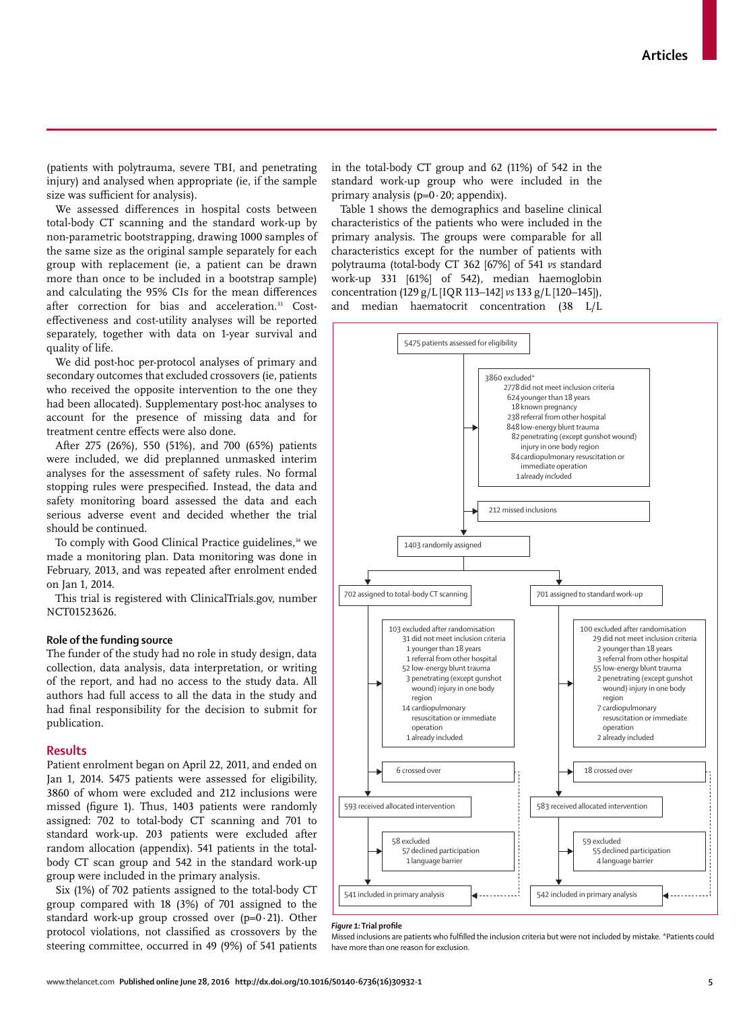www.thelancet.com**Published online June 28, 2016 http://dx.doi.org/10.1016/S0140-6736(16)30932-1 5**

(patients with polytrauma, severe TBI, and penetrating injury) and analysed when appropriate (ie, if the sample size was sufficient for analysis).

We assessed differences in hospital costs between total-body CT scanning and the standard work-up by non-parametric bootstrapping, drawing 1000 samples of the same size as the original sample separately for each group with replacement (ie, a patient can be drawn more than once to be included in a bootstrap sample) and calculating the 95% CIs for the mean differences after correction for bias and acceleration.<sup>33</sup> Costeffectiveness and cost-utility analyses will be reported separately, together with data on 1-year survival and quality of life.

We did post-hoc per-protocol analyses of primary and secondary outcomes that excluded crossovers (ie, patients who received the opposite intervention to the one they had been allocated). Supplementary post-hoc analyses to account for the presence of missing data and for treatment centre effects were also done.

After 275 (26%), 550 (51%), and 700 (65%) patients were included, we did preplanned unmasked interim analyses for the assessment of safety rules. No formal stopping rules were prespecified. Instead, the data and safety monitoring board assessed the data and each serious adverse event and decided whether the trial should be continued.

To comply with Good Clinical Practice guidelines,<sup>34</sup> we made a monitoring plan. Data monitoring was done in February, 2013, and was repeated after enrolment ended on Jan 1, 2014.

This trial is registered with ClinicalTrials.gov, number NCT01523626.

# **Role of the funding source**

The funder of the study had no role in study design, data collection, data analysis, data interpretation, or writing of the report, and had no access to the study data. All authors had full access to all the data in the study and had final responsibility for the decision to submit for publication.

### **Results**

Patient enrolment began on April 22, 2011, and ended on Jan 1, 2014. 5475 patients were assessed for eligibility, 3860 of whom were excluded and 212 inclusions were missed (figure 1). Thus, 1403 patients were randomly assigned: 702 to total-body CT scanning and 701 to standard work-up. 203 patients were excluded after random allocation (appendix). 541 patients in the totalbody CT scan group and 542 in the standard work-up group were included in the primary analysis.

Six (1%) of 702 patients assigned to the total-body CT group compared with 18 (3%) of 701 assigned to the standard work-up group crossed over  $(p=0.21)$ . Other protocol violations, not classified as crossovers by the steering committee, occurred in 49 (9%) of 541 patients in the total-body CT group and 62 (11%) of 542 in the standard work-up group who were included in the primary analysis ( $p=0.20$ ; appendix).

Table 1 shows the demographics and baseline clinical characteristics of the patients who were included in the primary analysis. The groups were comparable for all characteristics except for the number of patients with polytrauma (total-body CT 362 [67%] of 541 *vs* standard work-up 331 [61%] of 542), median haemoglobin concentration (129 g/L [IQR 113–142] *vs* 133 g/L [120–145]), and median haematocrit concentration (38 L/L



## **Figure 1:** Trial profile

Missed inclusions are patients who fulfilled the inclusion criteria but were not included by mistake. \*Patients could have more than one reason for exclusion.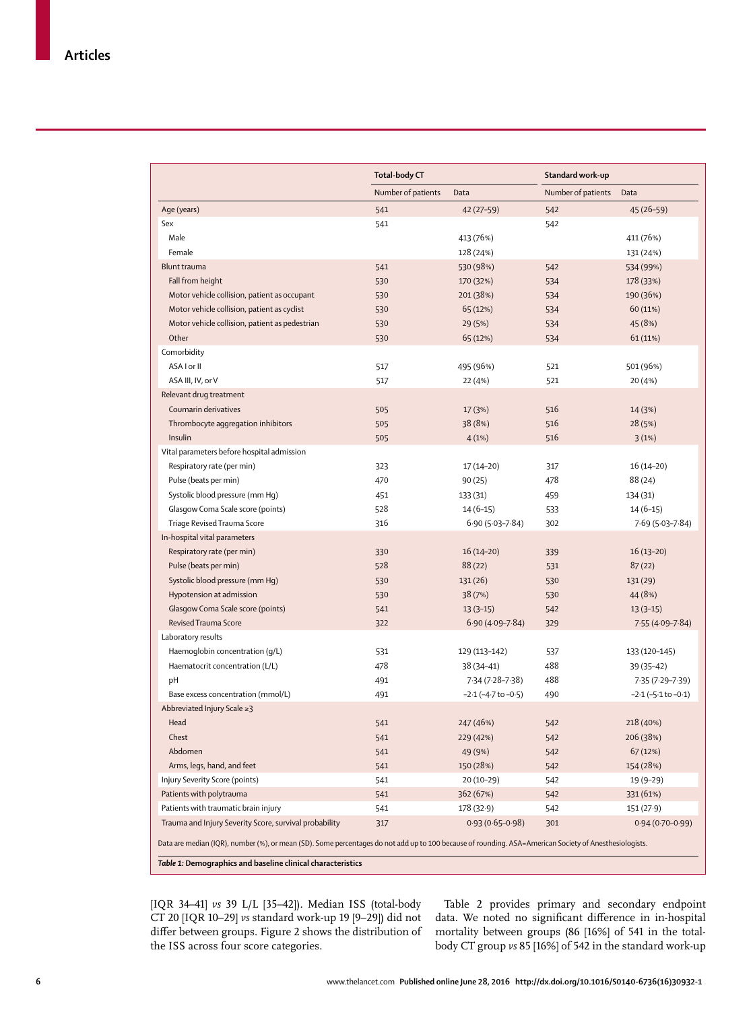|                                                                                                                                                        | Total-body CT      |                             |                    | Standard work-up            |  |  |  |
|--------------------------------------------------------------------------------------------------------------------------------------------------------|--------------------|-----------------------------|--------------------|-----------------------------|--|--|--|
|                                                                                                                                                        | Number of patients | Data                        | Number of patients | Data                        |  |  |  |
| Age (years)                                                                                                                                            | 541                | 42 (27-59)                  | 542                | 45 (26-59)                  |  |  |  |
| Sex                                                                                                                                                    | 541                |                             | 542                |                             |  |  |  |
| Male                                                                                                                                                   |                    | 413 (76%)                   |                    | 411 (76%)                   |  |  |  |
| Female                                                                                                                                                 |                    | 128 (24%)                   |                    | 131 (24%)                   |  |  |  |
| <b>Blunt trauma</b>                                                                                                                                    | 541                | 530 (98%)                   | 542                | 534 (99%)                   |  |  |  |
| Fall from height                                                                                                                                       | 530                | 170 (32%)                   | 534                | 178 (33%)                   |  |  |  |
| Motor vehicle collision, patient as occupant                                                                                                           | 530                | 201 (38%)                   | 534                | 190 (36%)                   |  |  |  |
| Motor vehicle collision, patient as cyclist                                                                                                            | 530                | 65 (12%)                    | 534                | 60 (11%)                    |  |  |  |
| Motor vehicle collision, patient as pedestrian                                                                                                         | 530                | 29 (5%)                     | 534                | 45 (8%)                     |  |  |  |
| Other                                                                                                                                                  | 530                | 65 (12%)                    | 534                | 61 (11%)                    |  |  |  |
| Comorbidity                                                                                                                                            |                    |                             |                    |                             |  |  |  |
| ASA I or II                                                                                                                                            | 517                | 495 (96%)                   | 521                | 501 (96%)                   |  |  |  |
| ASA III, IV, or V                                                                                                                                      | 517                | 22 (4%)                     | 521                | 20(4%)                      |  |  |  |
| Relevant drug treatment                                                                                                                                |                    |                             |                    |                             |  |  |  |
| Coumarin derivatives                                                                                                                                   | 505                | 17 (3%)                     | 516                | 14 (3%)                     |  |  |  |
| Thrombocyte aggregation inhibitors                                                                                                                     | 505                | 38 (8%)                     | 516                | 28 (5%)                     |  |  |  |
| Insulin                                                                                                                                                | 505                | 4(1%)                       | 516                | 3(1%)                       |  |  |  |
| Vital parameters before hospital admission                                                                                                             |                    |                             |                    |                             |  |  |  |
| Respiratory rate (per min)                                                                                                                             | 323                | 17 (14-20)                  | 317                | $16(14-20)$                 |  |  |  |
| Pulse (beats per min)                                                                                                                                  | 470                | 90(25)                      | 478                | 88 (24)                     |  |  |  |
| Systolic blood pressure (mm Hq)                                                                                                                        |                    |                             |                    |                             |  |  |  |
|                                                                                                                                                        | 451                | 133 (31)                    | 459                | 134 (31)                    |  |  |  |
| Glasgow Coma Scale score (points)                                                                                                                      | 528                | $14(6-15)$                  | 533                | $14(6-15)$                  |  |  |  |
| Triage Revised Trauma Score                                                                                                                            | 316                | $6.90(5.03 - 7.84)$         | 302                | 7.69 (5.03-7.84)            |  |  |  |
| In-hospital vital parameters                                                                                                                           |                    |                             |                    |                             |  |  |  |
| Respiratory rate (per min)                                                                                                                             | 330                | $16(14-20)$                 | 339                | $16(13-20)$                 |  |  |  |
| Pulse (beats per min)                                                                                                                                  | 528                | 88(22)                      | 531                | 87(22)                      |  |  |  |
| Systolic blood pressure (mm Hq)                                                                                                                        | 530                | 131 (26)                    | 530                | 131 (29)                    |  |  |  |
| Hypotension at admission                                                                                                                               | 530                | 38 (7%)                     | 530                | 44 (8%)                     |  |  |  |
| Glasgow Coma Scale score (points)                                                                                                                      | 541                | $13(3-15)$                  | 542                | $13(3-15)$                  |  |  |  |
| Revised Trauma Score                                                                                                                                   | 322                | $6.90(4.09 - 7.84)$         | 329                | $7.55(4.09-7.84)$           |  |  |  |
| Laboratory results                                                                                                                                     |                    |                             |                    |                             |  |  |  |
| Haemoglobin concentration (q/L)                                                                                                                        | 531                | 129 (113-142)               | 537                | 133 (120-145)               |  |  |  |
| Haematocrit concentration (L/L)                                                                                                                        | 478                | 38 (34-41)                  | 488                | 39 (35-42)                  |  |  |  |
| pH                                                                                                                                                     | 491                | 7.34 (7.28-7.38)            | 488                | $7.35(7.29 - 7.39)$         |  |  |  |
| Base excess concentration (mmol/L)                                                                                                                     | 491                | $-2.1$ ( $-4.7$ to $-0.5$ ) | 490                | $-2.1$ ( $-5.1$ to $-0.1$ ) |  |  |  |
| Abbreviated Injury Scale ≥3                                                                                                                            |                    |                             |                    |                             |  |  |  |
| Head                                                                                                                                                   | 541                | 247 (46%)                   | 542                | 218 (40%)                   |  |  |  |
| Chest                                                                                                                                                  | 541                | 229 (42%)                   | 542                | 206 (38%)                   |  |  |  |
| Abdomen                                                                                                                                                | 541                | 49 (9%)                     | 542                | 67(12%)                     |  |  |  |
| Arms, legs, hand, and feet                                                                                                                             | 541                | 150 (28%)                   | 542                | 154 (28%)                   |  |  |  |
| Injury Severity Score (points)                                                                                                                         | 541                | 20 (10-29)                  | 542                | 19 (9-29)                   |  |  |  |
| Patients with polytrauma                                                                                                                               | 541                | 362 (67%)                   | 542                | 331 (61%)                   |  |  |  |
| Patients with traumatic brain injury                                                                                                                   | 541                | 178(32.9)                   | 542                | 151(27.9)                   |  |  |  |
| Trauma and Injury Severity Score, survival probability                                                                                                 | 317                | $0.93(0.65 - 0.98)$         | 301                | $0.94(0.70 - 0.99)$         |  |  |  |
| Data are median (IQR), number (%), or mean (SD). Some percentages do not add up to 100 because of rounding. ASA=American Society of Anesthesiologists. |                    |                             |                    |                             |  |  |  |
| Table 1: Demographics and baseline clinical characteristics                                                                                            |                    |                             |                    |                             |  |  |  |

[IQR 34–41] *vs* 39 L/L [35–42]). Median ISS (total-body CT 20 [IQR 10–29] *vs* standard work-up 19 [9–29]) did not differ between groups. Figure 2 shows the distribution of the ISS across four score categories.

Table 2 provides primary and secondary endpoint data. We noted no significant difference in in-hospital mortality between groups (86 [16%] of 541 in the totalbody CT group *vs* 85 [16%] of 542 in the standard work-up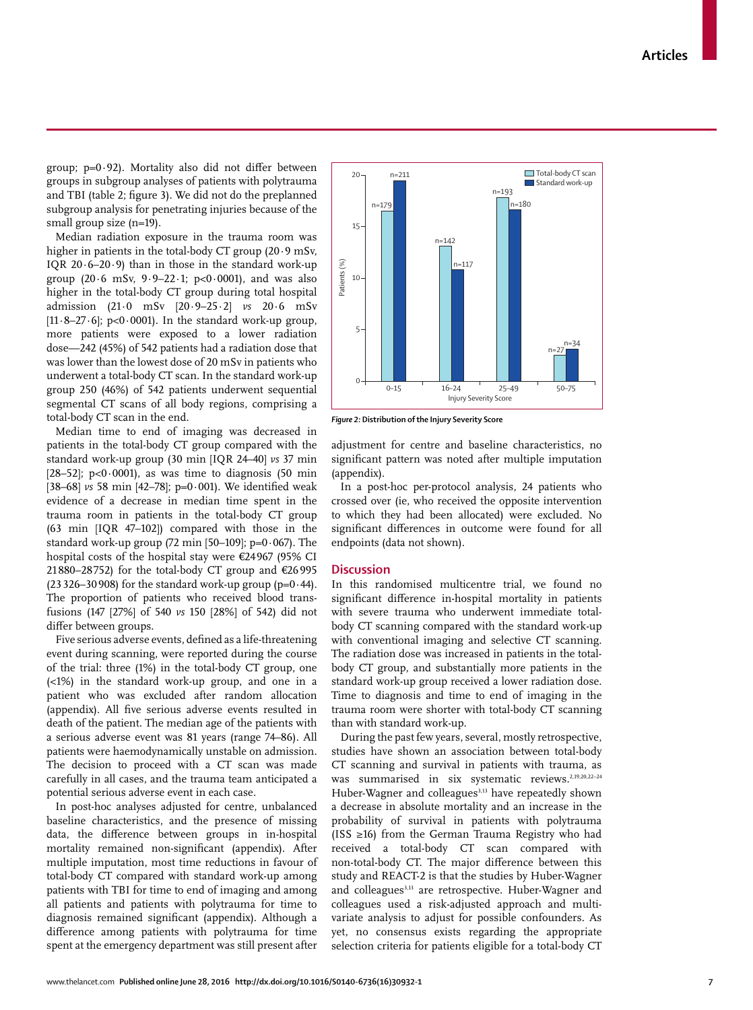Total-body CT scan  $20 - n = 211$ Standard work-up n=193 n=179 n=180 15 n=142 Patients (%) Patients (%) n=117 10 5 n=34  $n=27$  $0+$   $0-15$   $16-24$   $25-49$   $50-75$ Injury Severity Score

group;  $p=0.92$ ). Mortality also did not differ between groups in subgroup analyses of patients with polytrauma and TBI (table 2; figure 3). We did not do the preplanned subgroup analysis for penetrating injuries because of the small group size (n=19).

Median radiation exposure in the trauma room was higher in patients in the total-body CT group (20.9 mSv, IQR 20·6–20·9) than in those in the standard work-up group (20·6 mSv, 9·9–22·1; p<0·0001), and was also higher in the total-body CT group during total hospital admission (21·0 mSv [20·9–25·2] *vs* 20·6 mSv [ $11·8-27·6$ ]; p<0·0001]. In the standard work-up group, more patients were exposed to a lower radiation dose—242 (45%) of 542 patients had a radiation dose that was lower than the lowest dose of 20 mSv in patients who underwent a total-body CT scan. In the standard work-up group 250 (46%) of 542 patients underwent sequential segmental CT scans of all body regions, comprising a total-body CT scan in the end.

Median time to end of imaging was decreased in patients in the total-body CT group compared with the standard work-up group (30 min [IQR 24–40] *vs* 37 min [28–52]; p<0 $\cdot$ 0001], as was time to diagnosis (50 min [38–68] *vs* 58 min [42–78]; p=0·001). We identified weak evidence of a decrease in median time spent in the trauma room in patients in the total-body CT group (63 min [IQR 47–102]) compared with those in the standard work-up group (72 min [50–109];  $p=0.067$ ). The hospital costs of the hospital stay were €24 967 (95% CI 21880–28752) for the total-body CT group and  $€26995$ (23 326–30 908) for the standard work-up group ( $p=0.44$ ). The proportion of patients who received blood transfusions (147 [27%] of 540 *vs* 150 [28%] of 542) did not differ between groups.

Five serious adverse events, defined as a life-threatening event during scanning, were reported during the course of the trial: three (1%) in the total-body CT group, one (<1%) in the standard work-up group, and one in a patient who was excluded after random allocation (appendix). All five serious adverse events resulted in death of the patient. The median age of the patients with a serious adverse event was 81 years (range 74–86). All patients were haemodynamically unstable on admission. The decision to proceed with a CT scan was made carefully in all cases, and the trauma team anticipated a potential serious adverse event in each case.

In post-hoc analyses adjusted for centre, unbalanced baseline characteristics, and the presence of missing data, the difference between groups in in-hospital mortality remained non-significant (appendix). After multiple imputation, most time reductions in favour of total-body CT compared with standard work-up among patients with TBI for time to end of imaging and among all patients and patients with polytrauma for time to diagnosis remained significant (appendix). Although a difference among patients with polytrauma for time spent at the emergency department was still present after

*Figure 2:* **Distribution of the Injury Severity Score**

adjustment for centre and baseline characteristics, no significant pattern was noted after multiple imputation (appendix).

In a post-hoc per-protocol analysis, 24 patients who crossed over (ie, who received the opposite intervention to which they had been allocated) were excluded. No significant differences in outcome were found for all endpoints (data not shown).

# **Discussion**

In this randomised multicentre trial, we found no significant difference in-hospital mortality in patients with severe trauma who underwent immediate totalbody CT scanning compared with the standard work-up with conventional imaging and selective CT scanning. The radiation dose was increased in patients in the totalbody CT group, and substantially more patients in the standard work-up group received a lower radiation dose. Time to diagnosis and time to end of imaging in the trauma room were shorter with total-body CT scanning than with standard work-up.

During the past few years, several, mostly retrospective, studies have shown an association between total-body CT scanning and survival in patients with trauma, as was summarised in six systematic reviews.<sup>2,19,20,22-24</sup> Huber-Wagner and colleagues<sup>3,13</sup> have repeatedly shown a decrease in absolute mortality and an increase in the probability of survival in patients with polytrauma (ISS ≥16) from the German Trauma Registry who had received a total-body CT scan compared with non-total-body CT. The major difference between this study and REACT-2 is that the studies by Huber-Wagner and colleagues<sup>3,13</sup> are retrospective. Huber-Wagner and colleagues used a risk-adjusted approach and multivariate analysis to adjust for possible confounders. As yet, no consensus exists regarding the appropriate selection criteria for patients eligible for a total-body CT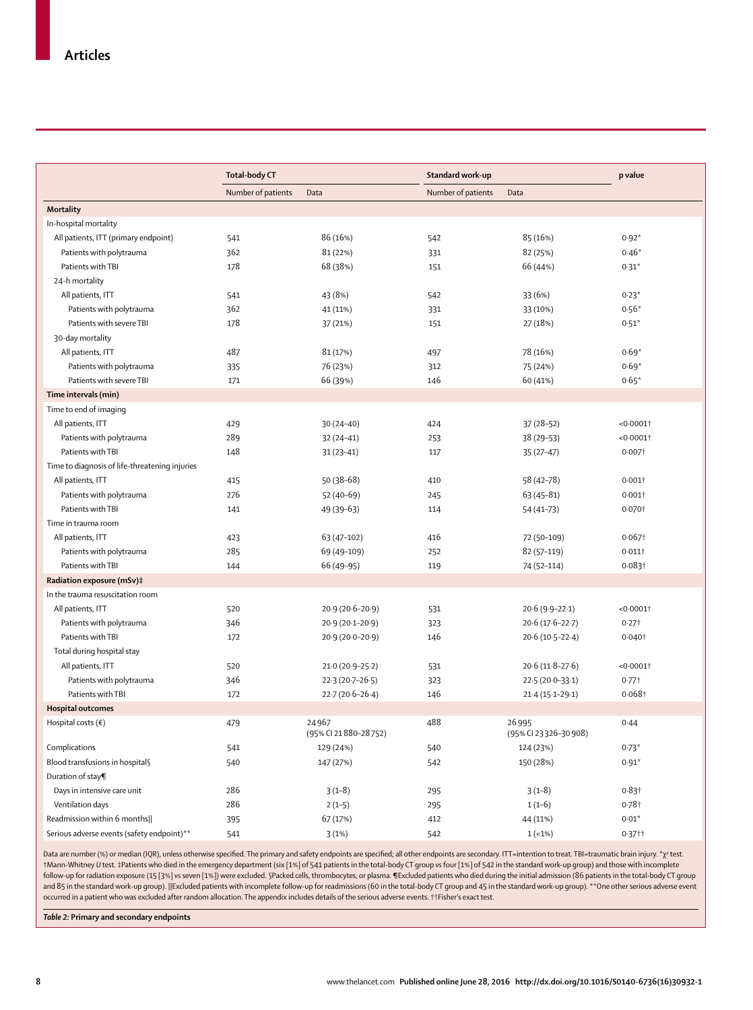|                                                | Total-body CT      |                               | Standard work-up   |                                 | p value              |  |
|------------------------------------------------|--------------------|-------------------------------|--------------------|---------------------------------|----------------------|--|
|                                                | Number of patients | Data                          | Number of patients | Data                            |                      |  |
| <b>Mortality</b>                               |                    |                               |                    |                                 |                      |  |
| In-hospital mortality                          |                    |                               |                    |                                 |                      |  |
| All patients, ITT (primary endpoint)           | 541                | 86 (16%)                      | 542                | 85 (16%)                        | $0.92*$              |  |
| Patients with polytrauma                       | 362                | 81 (22%)                      | 331                | 82 (25%)                        | $0.46*$              |  |
| Patients with TBI                              | 178                | 68 (38%)                      | 151                | 66 (44%)                        | $0.31*$              |  |
| 24-h mortality                                 |                    |                               |                    |                                 |                      |  |
| All patients, ITT                              | 541                | 43 (8%)                       | 542                | 33 (6%)                         | $0.23*$              |  |
| Patients with polytrauma                       | 362                | 41 (11%)                      | 331                | 33 (10%)                        | $0.56*$              |  |
| Patients with severe TBI                       | 178                | 37 (21%)                      | 151                | 27 (18%)                        | $0.51*$              |  |
| 30-day mortality                               |                    |                               |                    |                                 |                      |  |
| All patients, ITT                              | 487                | 81 (17%)                      | 497                | 78 (16%)                        | $0.69*$              |  |
| Patients with polytrauma                       | 335                | 76 (23%)                      | 312                | 75 (24%)                        | $0.69*$              |  |
| Patients with severe TBI                       | 171                | 66 (39%)                      | 146                | 60 (41%)                        | $0.65*$              |  |
| Time intervals (min)                           |                    |                               |                    |                                 |                      |  |
| Time to end of imaging                         |                    |                               |                    |                                 |                      |  |
| All patients, ITT                              | 429                | 30 (24-40)                    | 424                | $37(28-52)$                     | < 0.0001             |  |
| Patients with polytrauma                       | 289                | 32 (24-41)                    | 253                | 38 (29-53)                      | <0.0001              |  |
| Patients with TBI                              | 148                | $31(23-41)$                   | 117                | $35(27-47)$                     | 0.007 <sup>†</sup>   |  |
| Time to diagnosis of life-threatening injuries |                    |                               |                    |                                 |                      |  |
| All patients, ITT                              | 415                | 50 (38-68)                    | 410                | 58 (42-78)                      | $0.001$ <sup>+</sup> |  |
| Patients with polytrauma                       | 276                | 52 (40-69)                    | 245                | $63(45-81)$                     | $0.001$ <sup>+</sup> |  |
| Patients with TBI                              | 141                | 49 (39-63)                    | 114                | 54 (41-73)                      | $0.070$ <sup>+</sup> |  |
| Time in trauma room                            |                    |                               |                    |                                 |                      |  |
| All patients, ITT                              | 423                | 63 (47-102)                   | 416                | 72 (50-109)                     | $0.067$ <sup>+</sup> |  |
| Patients with polytrauma                       | 285                | 69 (49-109)                   | 252                | 82 (57-119)                     | $0.011\dagger$       |  |
| Patients with TBI                              | 144                | 66 (49-95)                    | 119                | 74 (52-114)                     | $0.083$ <sup>+</sup> |  |
| Radiation exposure (mSv)‡                      |                    |                               |                    |                                 |                      |  |
| In the trauma resuscitation room               |                    |                               |                    |                                 |                      |  |
|                                                | 520                |                               |                    |                                 | <0.0001              |  |
| All patients, ITT<br>Patients with polytrauma  |                    | 20.9 (20.6-20.9)              | 531                | $20.6(9.9 - 22.1)$              |                      |  |
|                                                | 346                | 20.9 (20.1-20.9)              | 323                | $20.6(17.6 - 22.7)$             | 0.27 <sup>†</sup>    |  |
| Patients with TBI                              | 172                | 20.9 (20.0-20.9)              | 146                | 20.6 (10.5-22.4)                | $0.040$ <sup>+</sup> |  |
| Total during hospital stay                     |                    |                               |                    |                                 |                      |  |
| All patients, ITT                              | 520                | $21.0(20.9 - 25.2)$           | 531                | $20.6(11.8-27.6)$               | <0.0001              |  |
| Patients with polytrauma                       | 346                | $22.3(20.7-26.5)$             | 323                | 22.5 (20.0-33.1)                | 0.771                |  |
| Patients with TBI                              | 172                | $22.7(20.6-26.4)$             | 146                | $21.4(15.1 - 29.1)$             | $0.068$ <sup>+</sup> |  |
| <b>Hospital outcomes</b>                       |                    |                               |                    |                                 |                      |  |
| Hospital costs $(\epsilon)$                    | 479                | 24967<br>(95% CI 21880-28752) | 488                | 26995<br>(95% CI 23 326-30 908) | 0.44                 |  |
| Complications                                  | 541                | 129 (24%)                     | 540                | 124 (23%)                       | $0.73*$              |  |
| Blood transfusions in hospital§                | 540                | 147 (27%)                     | 542                | 150 (28%)                       | $0.91*$              |  |
| Duration of stay¶                              |                    |                               |                    |                                 |                      |  |
| Days in intensive care unit                    | 286                | $3(1-8)$                      | 295                | $3(1-8)$                        | 0.831                |  |
| Ventilation days                               | 286                | $2(1-5)$                      | 295                | $1(1-6)$                        | $0.78+$              |  |
| Readmission within 6 months                    | 395                | 67 (17%)                      | 412                | 44 (11%)                        | $0.01*$              |  |
| Serious adverse events (safety endpoint)**     | 541                | 3(1%)                         | 542                | $1(-1%)$                        | $0.37 +$             |  |

Data are number (%) or median (IQR), unless otherwise specified. The primary and safety endpoints are specified; all other endpoints are secondary. ITT=intention to treat. TBI=traumatic brain injury. \*  $\chi$ <sup>2</sup> test. †Mann-Whitney *U* test. ‡Patients who died in the emergency department (six [1%] of 541 patients in the total-body CT group *vs* four [1%] of 542 in the standard work-up group) and those with incomplete follow-up for radiation exposure (15 [3%] *vs* seven [1%]) were excluded. §Packed cells, thrombocytes, or plasma. ¶Excluded patients who died during the initial admission (86 patients in the total-body CT group and 85 in the standard work-up group). ||Excluded patients with incomplete follow-up for readmissions (60 in the total-body CT group and 45 in the standard work-up group). \*\*One other serious adverse event occurred in a patient who was excluded after random allocation. The appendix includes details of the serious adverse events. ††Fisher's exact test.

*Table 2:* **Primary and secondary endpoints**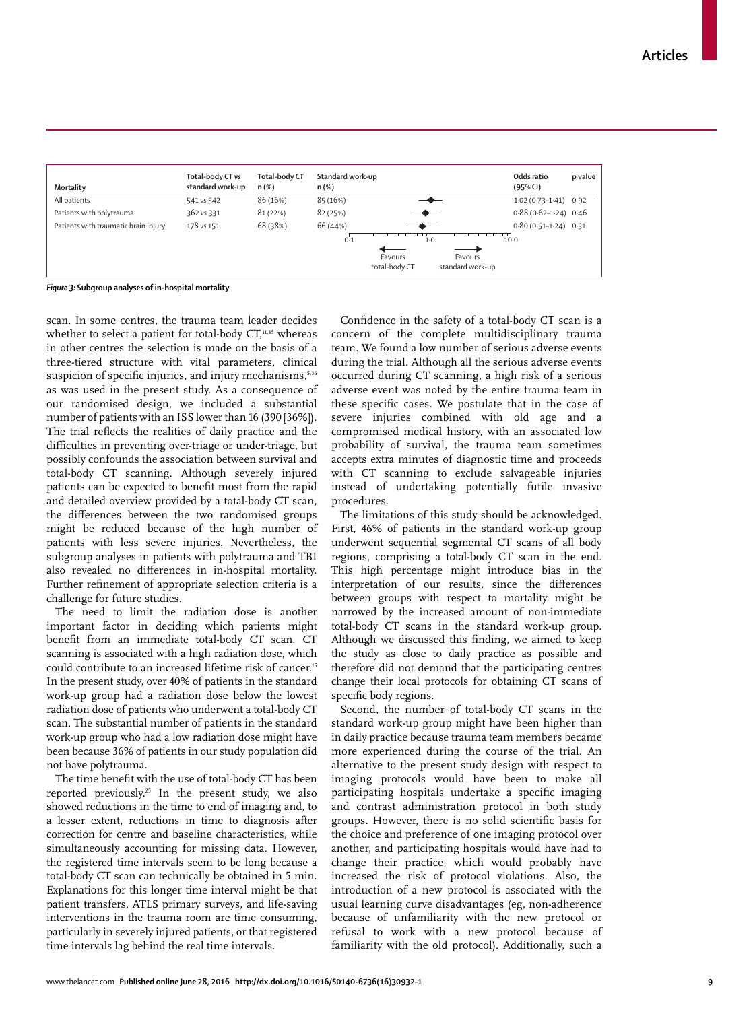

*Figure 3:* **Subgroup analyses of in-hospital mortality**

scan. In some centres, the trauma team leader decides whether to select a patient for total-body CT,<sup>11,35</sup> whereas in other centres the selection is made on the basis of a three-tiered structure with vital parameters, clinical suspicion of specific injuries, and injury mechanisms,<sup>5,36</sup> as was used in the present study. As a consequence of our randomised design, we included a substantial number of patients with an ISS lower than 16 (390 [36%]). The trial reflects the realities of daily practice and the difficulties in preventing over-triage or under-triage, but possibly confounds the association between survival and total-body CT scanning. Although severely injured patients can be expected to benefit most from the rapid and detailed overview provided by a total-body CT scan, the differences between the two randomised groups might be reduced because of the high number of patients with less severe injuries. Nevertheless, the subgroup analyses in patients with polytrauma and TBI also revealed no differences in in-hospital mortality. Further refinement of appropriate selection criteria is a challenge for future studies.

The need to limit the radiation dose is another important factor in deciding which patients might benefit from an immediate total-body CT scan. CT scanning is associated with a high radiation dose, which could contribute to an increased lifetime risk of cancer.<sup>15</sup> In the present study, over 40% of patients in the standard work-up group had a radiation dose below the lowest radiation dose of patients who underwent a total-body CT scan. The substantial number of patients in the standard work-up group who had a low radiation dose might have been because 36% of patients in our study population did not have polytrauma.

The time benefit with the use of total-body CT has been reported previously.25 In the present study, we also showed reductions in the time to end of imaging and, to a lesser extent, reductions in time to diagnosis after correction for centre and baseline characteristics, while simultaneously accounting for missing data. However, the registered time intervals seem to be long because a total-body CT scan can technically be obtained in 5 min. Explanations for this longer time interval might be that patient transfers, ATLS primary surveys, and life-saving interventions in the trauma room are time consuming, particularly in severely injured patients, or that registered time intervals lag behind the real time intervals.

Confidence in the safety of a total-body CT scan is a concern of the complete multidisciplinary trauma team. We found a low number of serious adverse events during the trial. Although all the serious adverse events occurred during CT scanning, a high risk of a serious adverse event was noted by the entire trauma team in these specific cases. We postulate that in the case of severe injuries combined with old age and a compromised medical history, with an associated low probability of survival, the trauma team sometimes accepts extra minutes of diagnostic time and proceeds with CT scanning to exclude salvageable injuries instead of undertaking potentially futile invasive procedures.

The limitations of this study should be acknowledged. First, 46% of patients in the standard work-up group underwent sequential segmental CT scans of all body regions, comprising a total-body CT scan in the end. This high percentage might introduce bias in the interpretation of our results, since the differences between groups with respect to mortality might be narrowed by the increased amount of non-immediate total-body CT scans in the standard work-up group. Although we discussed this finding, we aimed to keep the study as close to daily practice as possible and therefore did not demand that the participating centres change their local protocols for obtaining CT scans of specific body regions.

Second, the number of total-body CT scans in the standard work-up group might have been higher than in daily practice because trauma team members became more experienced during the course of the trial. An alternative to the present study design with respect to imaging protocols would have been to make all participating hospitals undertake a specific imaging and contrast administration protocol in both study groups. However, there is no solid scientific basis for the choice and preference of one imaging protocol over another, and participating hospitals would have had to change their practice, which would probably have increased the risk of protocol violations. Also, the introduction of a new protocol is associated with the usual learning curve disadvantages (eg, non-adherence because of unfamiliarity with the new protocol or refusal to work with a new protocol because of familiarity with the old protocol). Additionally, such a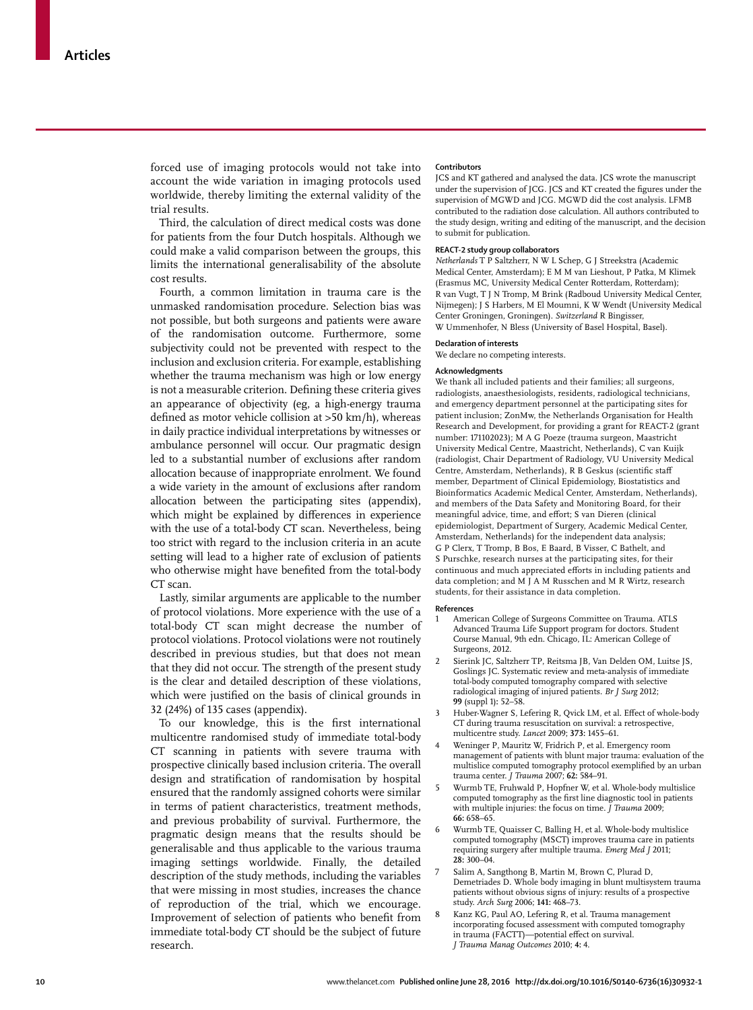forced use of imaging protocols would not take into account the wide variation in imaging protocols used worldwide, thereby limiting the external validity of the trial results.

Third, the calculation of direct medical costs was done for patients from the four Dutch hospitals. Although we could make a valid comparison between the groups, this limits the international generalisability of the absolute cost results.

Fourth, a common limitation in trauma care is the unmasked randomisation procedure. Selection bias was not possible, but both surgeons and patients were aware of the randomisation outcome. Furthermore, some subjectivity could not be prevented with respect to the inclusion and exclusion criteria. For example, establishing whether the trauma mechanism was high or low energy is not a measurable criterion. Defining these criteria gives an appearance of objectivity (eg, a high-energy trauma defined as motor vehicle collision at  $>50$  km/h), whereas in daily practice individual interpretations by witnesses or ambulance personnel will occur. Our pragmatic design led to a substantial number of exclusions after random allocation because of inappropriate enrolment. We found a wide variety in the amount of exclusions after random allocation between the participating sites (appendix), which might be explained by differences in experience with the use of a total-body CT scan. Nevertheless, being too strict with regard to the inclusion criteria in an acute setting will lead to a higher rate of exclusion of patients who otherwise might have benefited from the total-body CT scan.

Lastly, similar arguments are applicable to the number of protocol violations. More experience with the use of a total-body CT scan might decrease the number of protocol violations. Protocol violations were not routinely described in previous studies, but that does not mean that they did not occur. The strength of the present study is the clear and detailed description of these violations, which were justified on the basis of clinical grounds in 32 (24%) of 135 cases (appendix).

To our knowledge, this is the first international multicentre randomised study of immediate total-body CT scanning in patients with severe trauma with prospective clinically based inclusion criteria. The overall design and stratification of randomisation by hospital ensured that the randomly assigned cohorts were similar in terms of patient characteristics, treatment methods, and previous probability of survival. Furthermore, the pragmatic design means that the results should be generalisable and thus applicable to the various trauma imaging settings worldwide. Finally, the detailed description of the study methods, including the variables that were missing in most studies, increases the chance of reproduction of the trial, which we encourage. Improvement of selection of patients who benefit from immediate total-body CT should be the subject of future research.

#### **Contributors**

JCS and KT gathered and analysed the data. JCS wrote the manuscript under the supervision of JCG. JCS and KT created the figures under the supervision of MGWD and JCG. MGWD did the cost analysis. LFMB contributed to the radiation dose calculation. All authors contributed to the study design, writing and editing of the manuscript, and the decision to submit for publication.

### **REACT-2 study group collaborators**

*Netherlands* T P Saltzherr, N W L Schep, G J Streekstra (Academic Medical Center, Amsterdam); E M M van Lieshout, P Patka, M Klimek (Erasmus MC, University Medical Center Rotterdam, Rotterdam); R van Vugt, T J N Tromp, M Brink (Radboud University Medical Center, Nijmegen); J S Harbers, M El Moumni, K W Wendt (University Medical Center Groningen, Groningen). *Switzerland* R Bingisser, W Ummenhofer, N Bless (University of Basel Hospital, Basel).

#### **Declaration of interests**

We declare no competing interests.

#### **Acknowledgments**

We thank all included patients and their families; all surgeons, radiologists, anaesthesiologists, residents, radiological technicians, and emergency department personnel at the participating sites for patient inclusion; ZonMw, the Netherlands Organisation for Health Research and Development, for providing a grant for REACT-2 (grant number: 171102023); M A G Poeze (trauma surgeon, Maastricht University Medical Centre, Maastricht, Netherlands), C van Kuijk (radiologist, Chair Department of Radiology, VU University Medical Centre, Amsterdam, Netherlands), R B Geskus (scientific staff member, Department of Clinical Epidemiology, Biostatistics and Bioinformatics Academic Medical Center, Amsterdam, Netherlands), and members of the Data Safety and Monitoring Board, for their meaningful advice, time, and effort; S van Dieren (clinical epidemiologist, Department of Surgery, Academic Medical Center, Amsterdam, Netherlands) for the independent data analysis; G P Clerx, T Tromp, B Bos, E Baard, B Visser, C Bathelt, and S Purschke, research nurses at the participating sites, for their continuous and much appreciated efforts in including patients and data completion; and M J A M Russchen and M R Wirtz, research students, for their assistance in data completion.

#### **References**

- American College of Surgeons Committee on Trauma. ATLS Advanced Trauma Life Support program for doctors. Student Course Manual, 9th edn. Chicago, IL: American College of Surgeons, 2012.
- 2 Sierink JC, Saltzherr TP, Reitsma JB, Van Delden OM, Luitse JS, Goslings JC. Systematic review and meta-analysis of immediate total-body computed tomography compared with selective radiological imaging of injured patients. *Br J Surg* 2012; **99** (suppl 1)**:** 52–58.
- Huber-Wagner S, Lefering R, Qvick LM, et al. Effect of whole-body CT during trauma resuscitation on survival: a retrospective, multicentre study. *Lancet* 2009; **373:** 1455–61.
- Weninger P, Mauritz W, Fridrich P, et al. Emergency room management of patients with blunt major trauma: evaluation of the multislice computed tomography protocol exemplified by an urban trauma center. *J Trauma* 2007; **62:** 584–91.
- 5 Wurmb TE, Fruhwald P, Hopfner W, et al. Whole-body multislice computed tomography as the first line diagnostic tool in patients with multiple injuries: the focus on time. *J Trauma* 2009; **66:** 658–65.
- 6 Wurmb TE, Quaisser C, Balling H, et al. Whole-body multislice computed tomography (MSCT) improves trauma care in patients requiring surgery after multiple trauma. *Emerg Med J* 2011; **28:** 300–04.
- Salim A, Sangthong B, Martin M, Brown C, Plurad D, Demetriades D. Whole body imaging in blunt multisystem trauma patients without obvious signs of injury: results of a prospective study. *Arch Surg* 2006; **141:** 468–73.
- 8 Kanz KG, Paul AO, Lefering R, et al. Trauma management incorporating focused assessment with computed tomography in trauma (FACTT)-potential effect on survival. *J Trauma Manag Outcomes* 2010; **4:** 4.